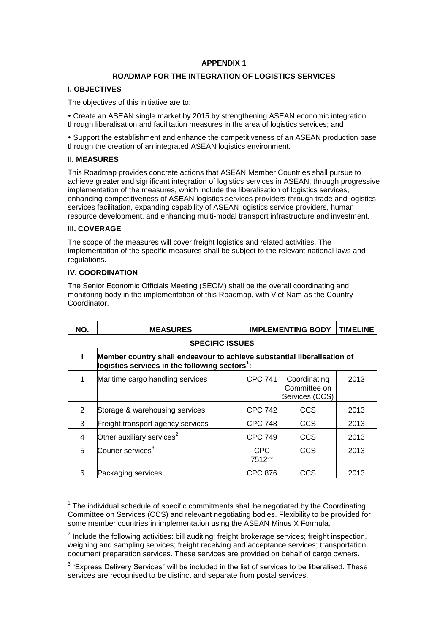# **APPENDIX 1**

## **ROADMAP FOR THE INTEGRATION OF LOGISTICS SERVICES**

# **I. OBJECTIVES**

The objectives of this initiative are to:

 Create an ASEAN single market by 2015 by strengthening ASEAN economic integration through liberalisation and facilitation measures in the area of logistics services; and

 Support the establishment and enhance the competitiveness of an ASEAN production base through the creation of an integrated ASEAN logistics environment.

## **II. MEASURES**

This Roadmap provides concrete actions that ASEAN Member Countries shall pursue to achieve greater and significant integration of logistics services in ASEAN, through progressive implementation of the measures, which include the liberalisation of logistics services, enhancing competitiveness of ASEAN logistics services providers through trade and logistics services facilitation, expanding capability of ASEAN logistics service providers, human resource development, and enhancing multi-modal transport infrastructure and investment.

#### **III. COVERAGE**

-

The scope of the measures will cover freight logistics and related activities. The implementation of the specific measures shall be subject to the relevant national laws and regulations.

#### **IV. COORDINATION**

The Senior Economic Officials Meeting (SEOM) shall be the overall coordinating and monitoring body in the implementation of this Roadmap, with Viet Nam as the Country Coordinator.

| NO.                    | <b>MEASURES</b>                                                                                                                       | <b>IMPLEMENTING BODY</b> |                                                | <b>TIMELINE</b> |
|------------------------|---------------------------------------------------------------------------------------------------------------------------------------|--------------------------|------------------------------------------------|-----------------|
| <b>SPECIFIC ISSUES</b> |                                                                                                                                       |                          |                                                |                 |
|                        | Member country shall endeavour to achieve substantial liberalisation of<br>logistics services in the following sectors <sup>1</sup> : |                          |                                                |                 |
| 1                      | Maritime cargo handling services                                                                                                      | <b>CPC 741</b>           | Coordinating<br>Committee on<br>Services (CCS) | 2013            |
| 2                      | Storage & warehousing services                                                                                                        | <b>CPC 742</b>           | CCS                                            | 2013            |
| 3                      | Freight transport agency services                                                                                                     | <b>CPC 748</b>           | CCS                                            | 2013            |
| 4                      | Other auxiliary services <sup>2</sup>                                                                                                 | <b>CPC 749</b>           | <b>CCS</b>                                     | 2013            |
| 5                      | Courier services <sup>3</sup>                                                                                                         | <b>CPC</b><br>7512**     | CCS                                            | 2013            |
| 6                      | Packaging services                                                                                                                    | <b>CPC 876</b>           | CCS                                            | 2013            |

 $1$  The individual schedule of specific commitments shall be negotiated by the Coordinating Committee on Services (CCS) and relevant negotiating bodies. Flexibility to be provided for some member countries in implementation using the ASEAN Minus X Formula.

 $2$  Include the following activities: bill auditing; freight brokerage services; freight inspection, weighing and sampling services; freight receiving and acceptance services; transportation document preparation services. These services are provided on behalf of cargo owners.

 $3$  "Express Delivery Services" will be included in the list of services to be liberalised. These services are recognised to be distinct and separate from postal services.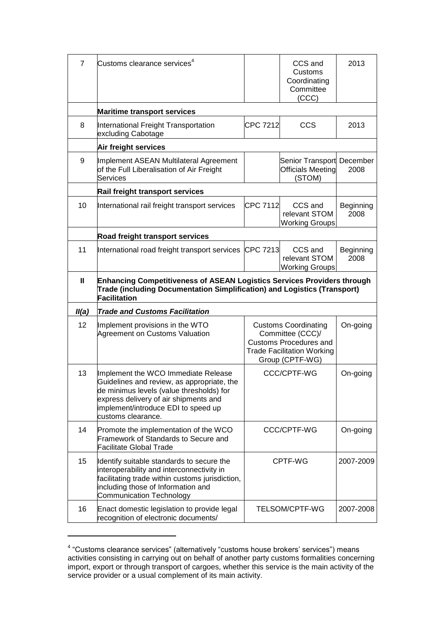| $\overline{7}$ | Customs clearance services $4$                                                                                                                                                                                                      |                                                                                                                                          | CCS and<br>Customs<br>Coordinating<br>Committee<br>(CCC)        | 2013              |
|----------------|-------------------------------------------------------------------------------------------------------------------------------------------------------------------------------------------------------------------------------------|------------------------------------------------------------------------------------------------------------------------------------------|-----------------------------------------------------------------|-------------------|
|                | <b>Maritime transport services</b>                                                                                                                                                                                                  |                                                                                                                                          |                                                                 |                   |
| 8              | International Freight Transportation<br>excluding Cabotage                                                                                                                                                                          | <b>CPC 7212</b>                                                                                                                          | <b>CCS</b>                                                      | 2013              |
|                | Air freight services                                                                                                                                                                                                                |                                                                                                                                          |                                                                 |                   |
| 9              | Implement ASEAN Multilateral Agreement<br>of the Full Liberalisation of Air Freight<br><b>Services</b>                                                                                                                              |                                                                                                                                          | Senior Transport December<br><b>Officials Meeting</b><br>(STOM) | 2008              |
|                | Rail freight transport services                                                                                                                                                                                                     |                                                                                                                                          |                                                                 |                   |
| 10             | International rail freight transport services                                                                                                                                                                                       | CPC 7112                                                                                                                                 | CCS and<br>relevant STOM<br><b>Working Groups</b>               | Beginning<br>2008 |
|                | Road freight transport services                                                                                                                                                                                                     |                                                                                                                                          |                                                                 |                   |
| 11             | International road freight transport services CPC 7213                                                                                                                                                                              |                                                                                                                                          | CCS and<br>relevant STOM<br><b>Working Groups</b>               | Beginning<br>2008 |
| Ш              | <b>Enhancing Competitiveness of ASEAN Logistics Services Providers through</b><br>Trade (including Documentation Simplification) and Logistics (Transport)<br><b>Facilitation</b>                                                   |                                                                                                                                          |                                                                 |                   |
| II(a)          | <b>Trade and Customs Facilitation</b>                                                                                                                                                                                               |                                                                                                                                          |                                                                 |                   |
| 12             | Implement provisions in the WTO<br>Agreement on Customs Valuation                                                                                                                                                                   | <b>Customs Coordinating</b><br>Committee (CCC)/<br><b>Customs Procedures and</b><br><b>Trade Facilitation Working</b><br>Group (CPTF-WG) |                                                                 | On-going          |
| 13             | Implement the WCO Immediate Release<br>Guidelines and review, as appropriate, the<br>de minimus levels (value thresholds) for<br>express delivery of air shipments and<br>implement/introduce EDI to speed up<br>customs clearance. | <b>CCC/CPTF-WG</b>                                                                                                                       |                                                                 | On-going          |
| 14             | Promote the implementation of the WCO<br>Framework of Standards to Secure and<br>Facilitate Global Trade                                                                                                                            | CCC/CPTF-WG                                                                                                                              |                                                                 | On-going          |
| 15             | Identify suitable standards to secure the<br>interoperability and interconnectivity in<br>facilitating trade within customs jurisdiction,<br>including those of Information and<br><b>Communication Technology</b>                  | CPTF-WG                                                                                                                                  |                                                                 | 2007-2009         |
| 16             | Enact domestic legislation to provide legal<br>recognition of electronic documents/                                                                                                                                                 |                                                                                                                                          | TELSOM/CPTF-WG                                                  | 2007-2008         |

<sup>&</sup>lt;sup>4</sup> "Customs clearance services" (alternatively "customs house brokers' services") means activities consisting in carrying out on behalf of another party customs formalities concerning import, export or through transport of cargoes, whether this service is the main activity of the service provider or a usual complement of its main activity.

-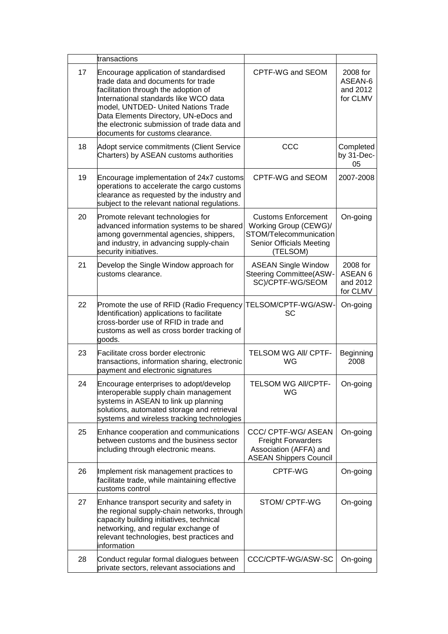|    | transactions                                                                                                                                                                                                                                                                                                                    |                                                                                                                       |                                                        |
|----|---------------------------------------------------------------------------------------------------------------------------------------------------------------------------------------------------------------------------------------------------------------------------------------------------------------------------------|-----------------------------------------------------------------------------------------------------------------------|--------------------------------------------------------|
| 17 | Encourage application of standardised<br>trade data and documents for trade<br>facilitation through the adoption of<br>International standards like WCO data<br>model, UNTDED- United Nations Trade<br>Data Elements Directory, UN-eDocs and<br>the electronic submission of trade data and<br>documents for customs clearance. | CPTF-WG and SEOM                                                                                                      | 2008 for<br>ASEAN-6<br>and 2012<br>for CLMV            |
| 18 | Adopt service commitments (Client Service<br>Charters) by ASEAN customs authorities                                                                                                                                                                                                                                             | CCC                                                                                                                   | Completed<br>by 31-Dec-<br>05                          |
| 19 | Encourage implementation of 24x7 customs<br>operations to accelerate the cargo customs<br>clearance as requested by the industry and<br>subject to the relevant national regulations.                                                                                                                                           | CPTF-WG and SEOM                                                                                                      | 2007-2008                                              |
| 20 | Promote relevant technologies for<br>advanced information systems to be shared<br>among governmental agencies, shippers,<br>and industry, in advancing supply-chain<br>security initiatives.                                                                                                                                    | <b>Customs Enforcement</b><br>Working Group (CEWG)/<br>STOM/Telecommunication<br>Senior Officials Meeting<br>(TELSOM) | On-going                                               |
| 21 | Develop the Single Window approach for<br>customs clearance.                                                                                                                                                                                                                                                                    | <b>ASEAN Single Window</b><br><b>Steering Committee(ASW-</b><br>SC)/CPTF-WG/SEOM                                      | 2008 for<br>ASEAN <sub>6</sub><br>and 2012<br>for CLMV |
| 22 | Promote the use of RFID (Radio Frequency TELSOM/CPTF-WG/ASW-<br>Identification) applications to facilitate<br>cross-border use of RFID in trade and<br>customs as well as cross border tracking of<br>goods.                                                                                                                    | SC                                                                                                                    | On-going                                               |
| 23 | Facilitate cross border electronic<br>transactions, information sharing, electronic<br>payment and electronic signatures                                                                                                                                                                                                        | TELSOM WG AII/ CPTF-<br>WG                                                                                            | <b>Beginning</b><br>2008                               |
| 24 | Encourage enterprises to adopt/develop<br>interoperable supply chain management<br>systems in ASEAN to link up planning<br>solutions, automated storage and retrieval<br>systems and wireless tracking technologies                                                                                                             | TELSOM WG AII/CPTF-<br>WG                                                                                             | On-going                                               |
| 25 | Enhance cooperation and communications<br>between customs and the business sector<br>including through electronic means.                                                                                                                                                                                                        | CCC/ CPTF-WG/ ASEAN<br><b>Freight Forwarders</b><br>Association (AFFA) and<br><b>ASEAN Shippers Council</b>           | On-going                                               |
| 26 | Implement risk management practices to<br>facilitate trade, while maintaining effective<br>customs control                                                                                                                                                                                                                      | CPTF-WG                                                                                                               | On-going                                               |
| 27 | Enhance transport security and safety in<br>the regional supply-chain networks, through<br>capacity building initiatives, technical<br>networking, and regular exchange of<br>relevant technologies, best practices and<br>information                                                                                          | STOM/ CPTF-WG                                                                                                         | On-going                                               |
| 28 | Conduct regular formal dialogues between<br>private sectors, relevant associations and                                                                                                                                                                                                                                          | CCC/CPTF-WG/ASW-SC                                                                                                    | On-going                                               |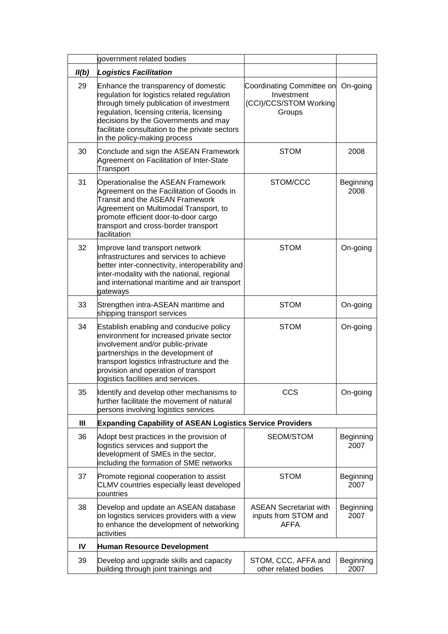|       | government related bodies                                                                                                                                                                                                                                                                              |                                                                             |                   |
|-------|--------------------------------------------------------------------------------------------------------------------------------------------------------------------------------------------------------------------------------------------------------------------------------------------------------|-----------------------------------------------------------------------------|-------------------|
| II(b) | <b>Logistics Facilitation</b>                                                                                                                                                                                                                                                                          |                                                                             |                   |
| 29    | Enhance the transparency of domestic<br>regulation for logistics related regulation<br>through timely publication of investment<br>regulation, licensing criteria, licensing<br>decisions by the Governments and may<br>facilitate consultation to the private sectors<br>in the policy-making process | Coordinating Committee on<br>Investment<br>(CCI)/CCS/STOM Working<br>Groups | On-going          |
| 30    | Conclude and sign the ASEAN Framework<br>Agreement on Facilitation of Inter-State<br>Transport                                                                                                                                                                                                         | <b>STOM</b>                                                                 | 2008              |
| 31    | Operationalise the ASEAN Framework<br>Agreement on the Facilitation of Goods in<br><b>Transit and the ASEAN Framework</b><br>Agreement on Multimodal Transport, to<br>promote efficient door-to-door cargo<br>transport and cross-border transport<br>facilitation                                     | STOM/CCC                                                                    | Beginning<br>2008 |
| 32    | Improve land transport network<br>infrastructures and services to achieve<br>better inter-connectivity, interoperability and<br>inter-modality with the national, regional<br>and international maritime and air transport<br>gateways                                                                 | <b>STOM</b>                                                                 | On-going          |
| 33    | Strengthen intra-ASEAN maritime and<br>shipping transport services                                                                                                                                                                                                                                     | <b>STOM</b>                                                                 | On-going          |
| 34    | Establish enabling and conducive policy<br>environment for increased private sector<br>involvement and/or public-private<br>partnerships in the development of<br>transport logistics infrastructure and the<br>provision and operation of transport<br>logistics facilities and services.             | <b>STOM</b>                                                                 | On-going          |
| 35    | Identify and develop other mechanisms to<br>further facilitate the movement of natural<br>persons involving logistics services                                                                                                                                                                         | CCS                                                                         | On-going          |
| Ш     | <b>Expanding Capability of ASEAN Logistics Service Providers</b>                                                                                                                                                                                                                                       |                                                                             |                   |
| 36    | Adopt best practices in the provision of<br>logistics services and support the<br>development of SMEs in the sector,<br>including the formation of SME networks                                                                                                                                        | SEOM/STOM                                                                   | Beginning<br>2007 |
| 37    | Promote regional cooperation to assist<br>CLMV countries especially least developed<br>countries                                                                                                                                                                                                       | <b>STOM</b>                                                                 | Beginning<br>2007 |
| 38    | Develop and update an ASEAN database<br>on logistics services providers with a view<br>to enhance the development of networking<br>activities                                                                                                                                                          | <b>ASEAN Secretariat with</b><br>inputs from STOM and<br><b>AFFA</b>        | Beginning<br>2007 |
| IV    | Human Resource Development                                                                                                                                                                                                                                                                             |                                                                             |                   |
| 39    | Develop and upgrade skills and capacity<br>building through joint trainings and                                                                                                                                                                                                                        | STOM, CCC, AFFA and<br>other related bodies                                 | Beginning<br>2007 |